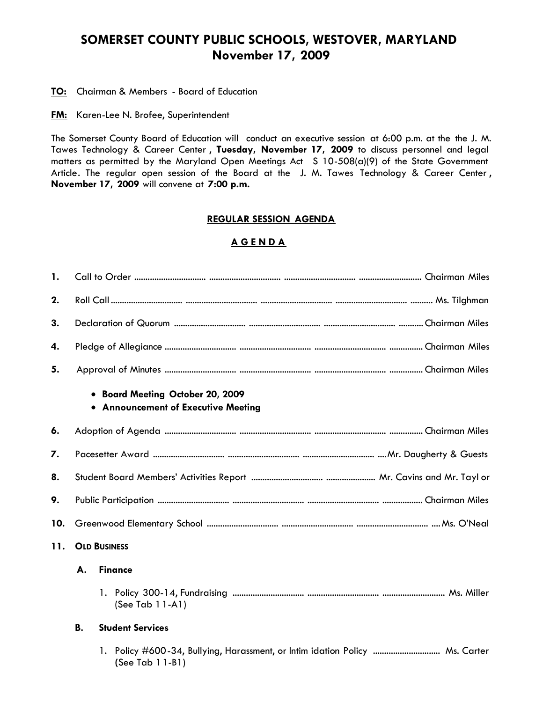# **SOMERSET COUNTY PUBLIC SCHOOLS, WESTOVER, MARYLAND November 17, 2009**

**TO:** Chairman & Members - Board of Education

**FM:** Karen-Lee N. Brofee, Superintendent

The Somerset County Board of Education will conduct an executive session at 6:00 p.m. at the the J. M. Tawes Technology & Career Center , **Tuesday, November 17, 2009** to discuss personnel and legal matters as permitted by the Maryland Open Meetings Act S 10-508(a)(9) of the State Government Article. The regular open session of the Board at the J. M. Tawes Technology & Career Center, **November 17, 2009** will convene at **7:00 p.m.**

#### **REGULAR SESSION AGENDA**

## **A G E N D A**

| 1.  |                     |                                                                                                    |  |  |
|-----|---------------------|----------------------------------------------------------------------------------------------------|--|--|
| 2.  |                     |                                                                                                    |  |  |
| 3.  |                     |                                                                                                    |  |  |
| 4.  |                     |                                                                                                    |  |  |
| 5.  |                     |                                                                                                    |  |  |
|     |                     | • Board Meeting October 20, 2009<br>• Announcement of Executive Meeting                            |  |  |
| 6.  |                     |                                                                                                    |  |  |
| 7.  |                     |                                                                                                    |  |  |
| 8.  |                     |                                                                                                    |  |  |
| 9.  |                     |                                                                                                    |  |  |
| 10. |                     |                                                                                                    |  |  |
| 11. | <b>OLD BUSINESS</b> |                                                                                                    |  |  |
|     | А.                  | <b>Finance</b>                                                                                     |  |  |
|     |                     | (See Tab 11-A1)                                                                                    |  |  |
|     | В.                  | <b>Student Services</b>                                                                            |  |  |
|     |                     | 1. Policy #600-34, Bullying, Harassment, or Intim idation Policy  Ms. Carter<br>(See Tab $11-B1$ ) |  |  |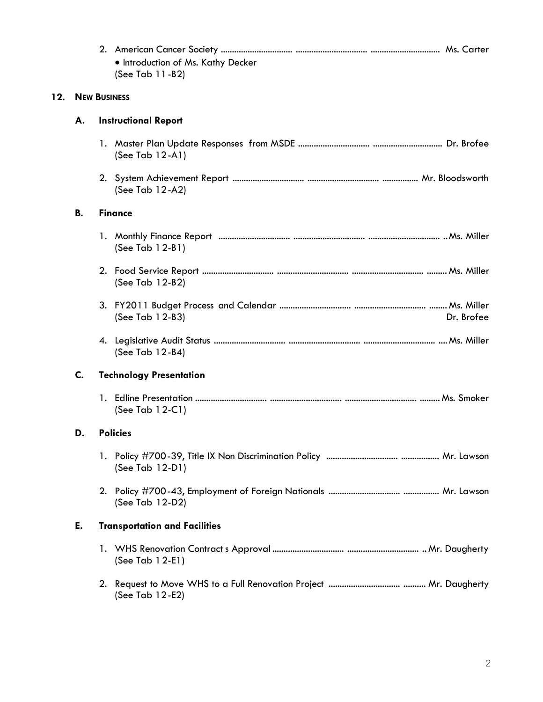|     |                     | . Introduction of Ms. Kathy Decker<br>(See Tab 11-B2) |  |  |  |  |
|-----|---------------------|-------------------------------------------------------|--|--|--|--|
| 12. | <b>NEW BUSINESS</b> |                                                       |  |  |  |  |
|     | А.                  | <b>Instructional Report</b>                           |  |  |  |  |
|     |                     | (See Tab $12-A1$ )                                    |  |  |  |  |
|     |                     | (See Tab $12-A2$ )                                    |  |  |  |  |
|     | В.                  | <b>Finance</b>                                        |  |  |  |  |
|     |                     | (See Tab 12-B1)                                       |  |  |  |  |
|     |                     | (See Tab $12-B2$ )                                    |  |  |  |  |
|     |                     | (See Tab 12-B3)<br>Dr. Brofee                         |  |  |  |  |
|     |                     | (See Tab 12-B4)                                       |  |  |  |  |
|     | C.                  | <b>Technology Presentation</b>                        |  |  |  |  |
|     |                     | (See Tab $12-C1$ )                                    |  |  |  |  |
|     | D.                  | <b>Policies</b>                                       |  |  |  |  |
|     |                     | (See Tab 12-D1)                                       |  |  |  |  |
|     |                     | (See Tab 12-D2)                                       |  |  |  |  |
|     | Е.                  | <b>Transportation and Facilities</b>                  |  |  |  |  |
|     |                     | (See Tab 12-E1)                                       |  |  |  |  |
|     |                     | (See Tab 12-E2)                                       |  |  |  |  |